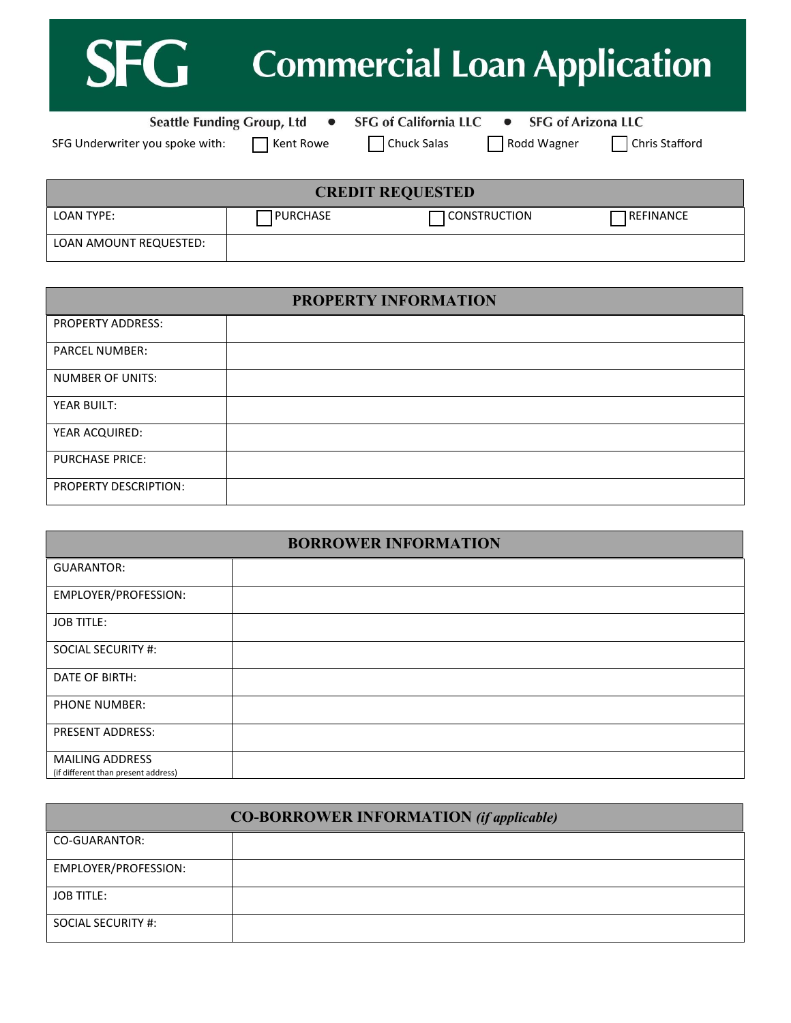| <b>SFG</b> Commercial Loan Application |  |
|----------------------------------------|--|
|----------------------------------------|--|

Seattle Funding Group, Ltd . SFG of California LLC . SFG of Arizona LLC

SFG Underwriter you spoke with:  $\Box$  Kent Rowe  $\Box$  Chuck Salas  $\Box$  Rodd Wagner  $\Box$  Chris Stafford

| <b>CREDIT REQUESTED</b> |          |                |            |
|-------------------------|----------|----------------|------------|
| LOAN TYPE:              | PURCHASE | T CONSTRUCTION | TREFINANCE |
| LOAN AMOUNT REQUESTED:  |          |                |            |

| PROPERTY INFORMATION     |  |  |
|--------------------------|--|--|
| <b>PROPERTY ADDRESS:</b> |  |  |
| <b>PARCEL NUMBER:</b>    |  |  |
| <b>NUMBER OF UNITS:</b>  |  |  |
| YEAR BUILT:              |  |  |
| YEAR ACQUIRED:           |  |  |
| <b>PURCHASE PRICE:</b>   |  |  |
| PROPERTY DESCRIPTION:    |  |  |

| <b>BORROWER INFORMATION</b>                                   |  |  |
|---------------------------------------------------------------|--|--|
| GUARANTOR:                                                    |  |  |
| EMPLOYER/PROFESSION:                                          |  |  |
| <b>JOB TITLE:</b>                                             |  |  |
| SOCIAL SECURITY #:                                            |  |  |
| DATE OF BIRTH:                                                |  |  |
| <b>PHONE NUMBER:</b>                                          |  |  |
| <b>PRESENT ADDRESS:</b>                                       |  |  |
| <b>MAILING ADDRESS</b><br>(if different than present address) |  |  |

| <b>CO-BORROWER INFORMATION (if applicable)</b> |  |  |
|------------------------------------------------|--|--|
| CO-GUARANTOR:                                  |  |  |
| EMPLOYER/PROFESSION:                           |  |  |
| <b>JOB TITLE:</b>                              |  |  |
| SOCIAL SECURITY #:                             |  |  |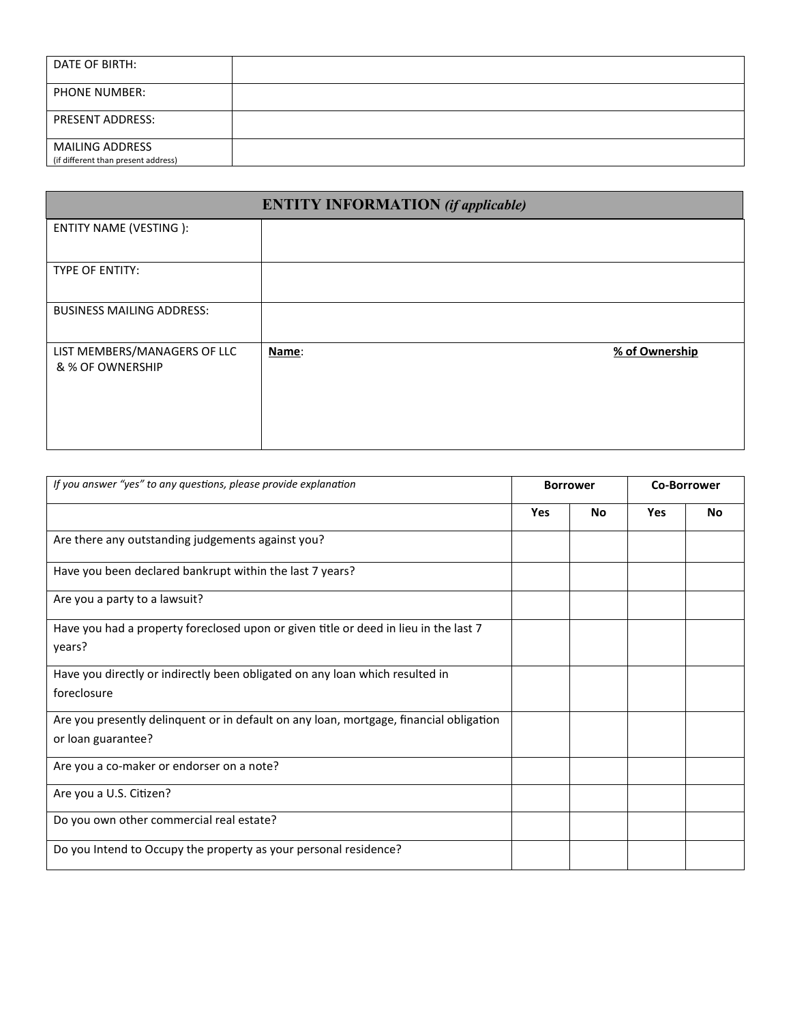| DATE OF BIRTH:                                                |  |
|---------------------------------------------------------------|--|
| <b>PHONE NUMBER:</b>                                          |  |
| <b>PRESENT ADDRESS:</b>                                       |  |
| <b>MAILING ADDRESS</b><br>(if different than present address) |  |

| <b>ENTITY INFORMATION</b> (if applicable)        |       |                |
|--------------------------------------------------|-------|----------------|
| ENTITY NAME (VESTING):                           |       |                |
| TYPE OF ENTITY:                                  |       |                |
| <b>BUSINESS MAILING ADDRESS:</b>                 |       |                |
| LIST MEMBERS/MANAGERS OF LLC<br>& % OF OWNERSHIP | Name: | % of Ownership |

| If you answer "yes" to any questions, please provide explanation                                             |            | <b>Borrower</b> |            | <b>Co-Borrower</b> |  |
|--------------------------------------------------------------------------------------------------------------|------------|-----------------|------------|--------------------|--|
|                                                                                                              | <b>Yes</b> | No              | <b>Yes</b> | No                 |  |
| Are there any outstanding judgements against you?                                                            |            |                 |            |                    |  |
| Have you been declared bankrupt within the last 7 years?                                                     |            |                 |            |                    |  |
| Are you a party to a lawsuit?                                                                                |            |                 |            |                    |  |
| Have you had a property foreclosed upon or given title or deed in lieu in the last 7<br>years?               |            |                 |            |                    |  |
| Have you directly or indirectly been obligated on any loan which resulted in<br>foreclosure                  |            |                 |            |                    |  |
| Are you presently delinquent or in default on any loan, mortgage, financial obligation<br>or loan guarantee? |            |                 |            |                    |  |
| Are you a co-maker or endorser on a note?                                                                    |            |                 |            |                    |  |
| Are you a U.S. Citizen?                                                                                      |            |                 |            |                    |  |
| Do you own other commercial real estate?                                                                     |            |                 |            |                    |  |
| Do you Intend to Occupy the property as your personal residence?                                             |            |                 |            |                    |  |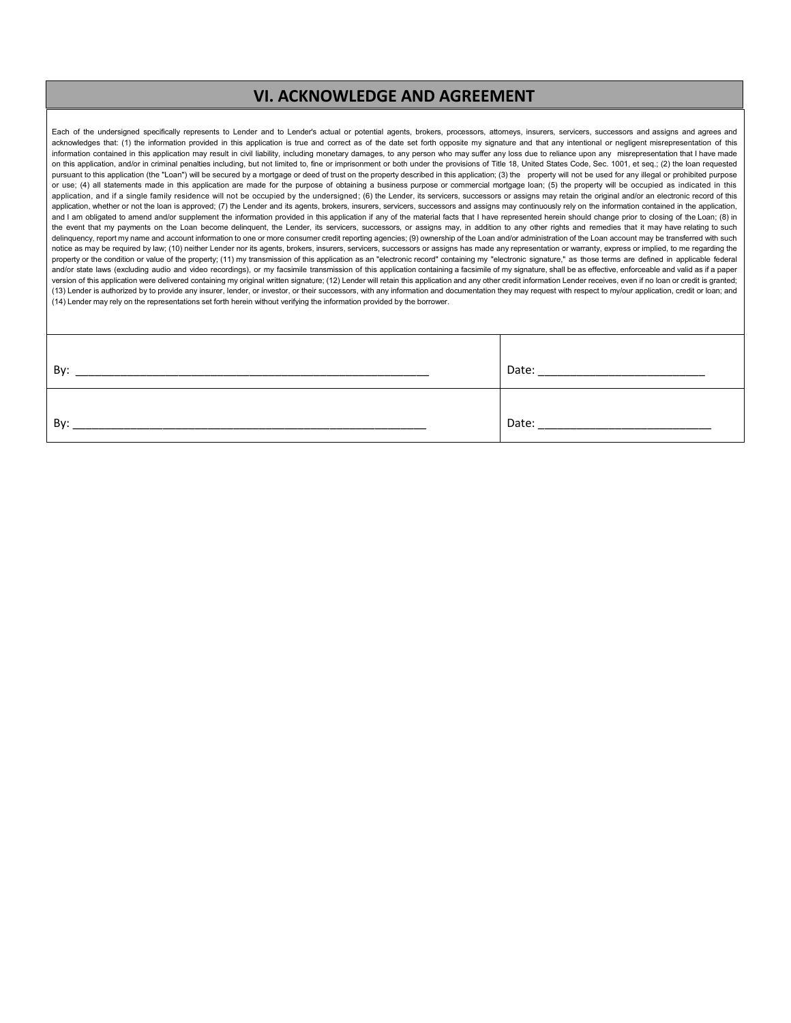#### **VI. ACKNOWLEDGE AND AGREEMENT**

Each of the undersigned specifically represents to Lender and to Lender's actual or potential agents, brokers, processors, attorneys, insurers, servicers, successors and assigns and agrees and acknowledges that: (1) the information provided in this application is true and correct as of the date set forth opposite my signature and that any intentional or negligent misrepresentation of this information contained in this application may result in civil liability, including monetary damages, to any person who may suffer any loss due to reliance upon any misrepresentation that I have made on this application, and/or in criminal penalties including, but not limited to, fine or imprisonment or both under the provisions of Title 18, United States Code, Sec. 1001, et seq.; (2) the loan requested pursuant to this application (the "Loan") will be secured by a mortgage or deed of trust on the property described in this application; (3) the property will not be used for any illegal or prohibited purpose or use; (4) all statements made in this application are made for the purpose of obtaining a business purpose or commercial mortgage loan; (5) the property will be occupied as indicated in this application, and if a single family residence will not be occupied by the undersigned; (6) the Lender, its servicers, successors or assigns may retain the original and/or an electronic record of this application, whether or not the loan is approved; (7) the Lender and its agents, brokers, insurers, servicers, successors and assigns may continuously rely on the information contained in the application, and I am obligated to amend and/or supplement the information provided in this application if any of the material facts that I have represented herein should change prior to closing of the Loan; (8) in the event that my payments on the Loan become delinquent, the Lender, its servicers, successors, or assigns may, in addition to any other rights and remedies that it may have relating to such delinquency, report my name and account information to one or more consumer credit reporting agencies; (9) ownership of the Loan and/or administration of the Loan account may be transferred with such notice as may be required by law; (10) neither Lender nor its agents, brokers, insurers, servicers, successors or assigns has made any representation or warranty, express or implied, to me regarding the property or the condition or value of the property; (11) my transmission of this application as an "electronic record" containing my "electronic signature," as those terms are defined in applicable federal and/or state laws (excluding audio and video recordings), or my facsimile transmission of this application containing a facsimile of my signature, shall be as effective, enforceable and valid as if a paper version of this application were delivered containing my original written signature; (12) Lender will retain this application and any other credit information Lender receives, even if no loan or credit is granted; (13) Lender is authorized by to provide any insurer, lender, or investor, or their successors, with any information and documentation they may request with respect to my/our application, credit or loan; and (14) Lender may rely on the representations set forth herein without verifying the information provided by the borrower.

| Bv: | Date: |
|-----|-------|
| Bv: | Date: |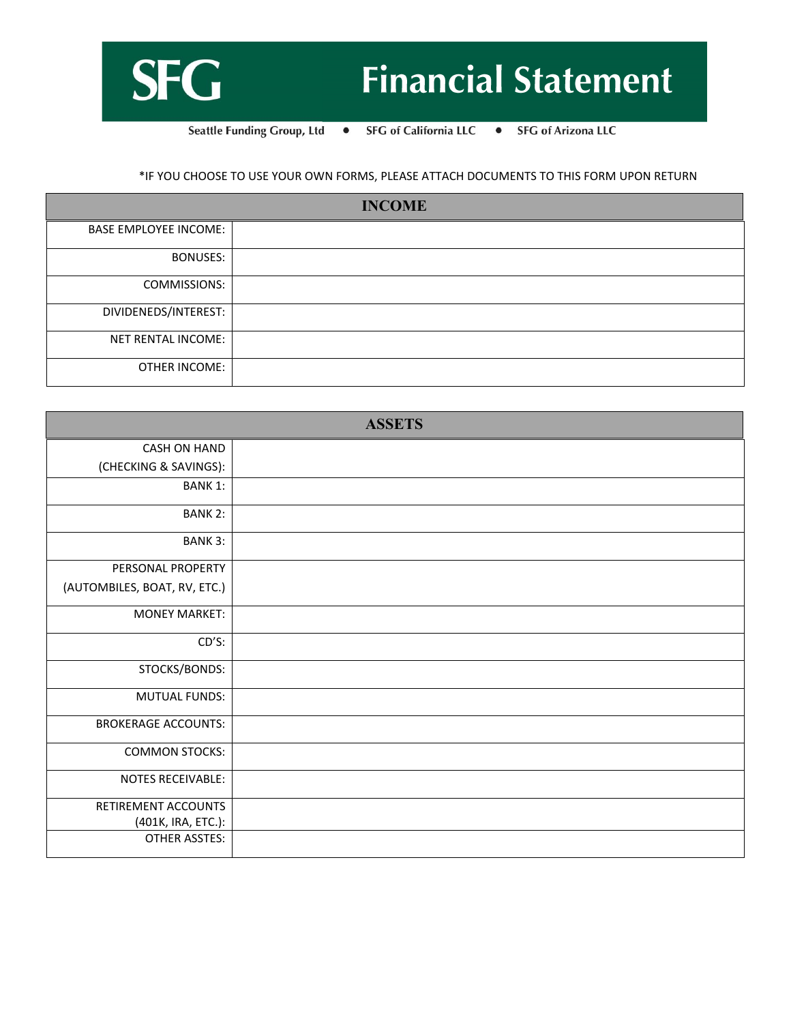

# **Financial Statement**

Seattle Funding Group, Ltd • **SFG** of California LLC • SFG of Arizona LLC

\*IF YOU CHOOSE TO USE YOUR OWN FORMS, PLEASE ATTACH DOCUMENTS TO THIS FORM UPON RETURN

| <b>INCOME</b>                |  |  |
|------------------------------|--|--|
| <b>BASE EMPLOYEE INCOME:</b> |  |  |
| <b>BONUSES:</b>              |  |  |
| COMMISSIONS:                 |  |  |
| DIVIDENEDS/INTEREST:         |  |  |
| NET RENTAL INCOME:           |  |  |
| OTHER INCOME:                |  |  |

|                              | <b>ASSETS</b> |
|------------------------------|---------------|
| CASH ON HAND                 |               |
| (CHECKING & SAVINGS):        |               |
| <b>BANK 1:</b>               |               |
| <b>BANK 2:</b>               |               |
| <b>BANK 3:</b>               |               |
| PERSONAL PROPERTY            |               |
| (AUTOMBILES, BOAT, RV, ETC.) |               |
| <b>MONEY MARKET:</b>         |               |
| $CD'S$ :                     |               |
| STOCKS/BONDS:                |               |
| <b>MUTUAL FUNDS:</b>         |               |
| <b>BROKERAGE ACCOUNTS:</b>   |               |
| <b>COMMON STOCKS:</b>        |               |
| <b>NOTES RECEIVABLE:</b>     |               |
| RETIREMENT ACCOUNTS          |               |
| (401K, IRA, ETC.):           |               |
| <b>OTHER ASSTES:</b>         |               |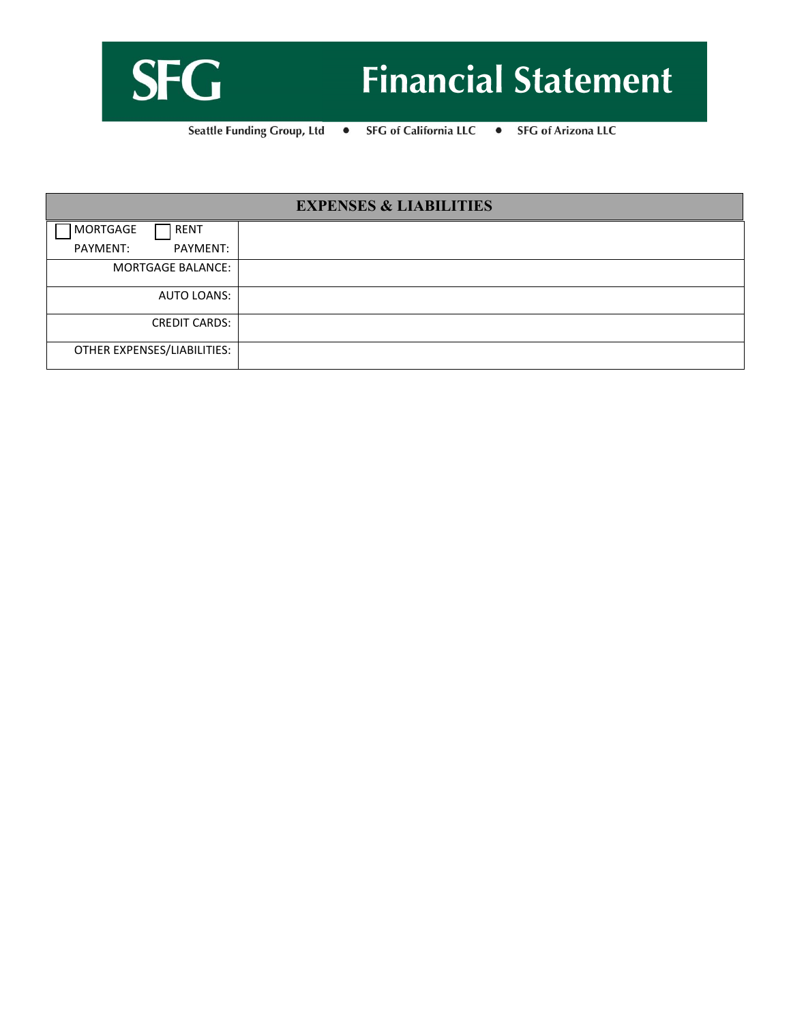

**Seattle Funding Group, Ltd SFG** of California LLC • SFG of Arizona LLC  $\bullet$ 

| <b>EXPENSES &amp; LIABILITIES</b> |  |  |
|-----------------------------------|--|--|
| MORTGAGE<br>RENT                  |  |  |
| PAYMENT:<br>PAYMENT:              |  |  |
| <b>MORTGAGE BALANCE:</b>          |  |  |
| AUTO LOANS:                       |  |  |
| <b>CREDIT CARDS:</b>              |  |  |
| OTHER EXPENSES/LIABILITIES:       |  |  |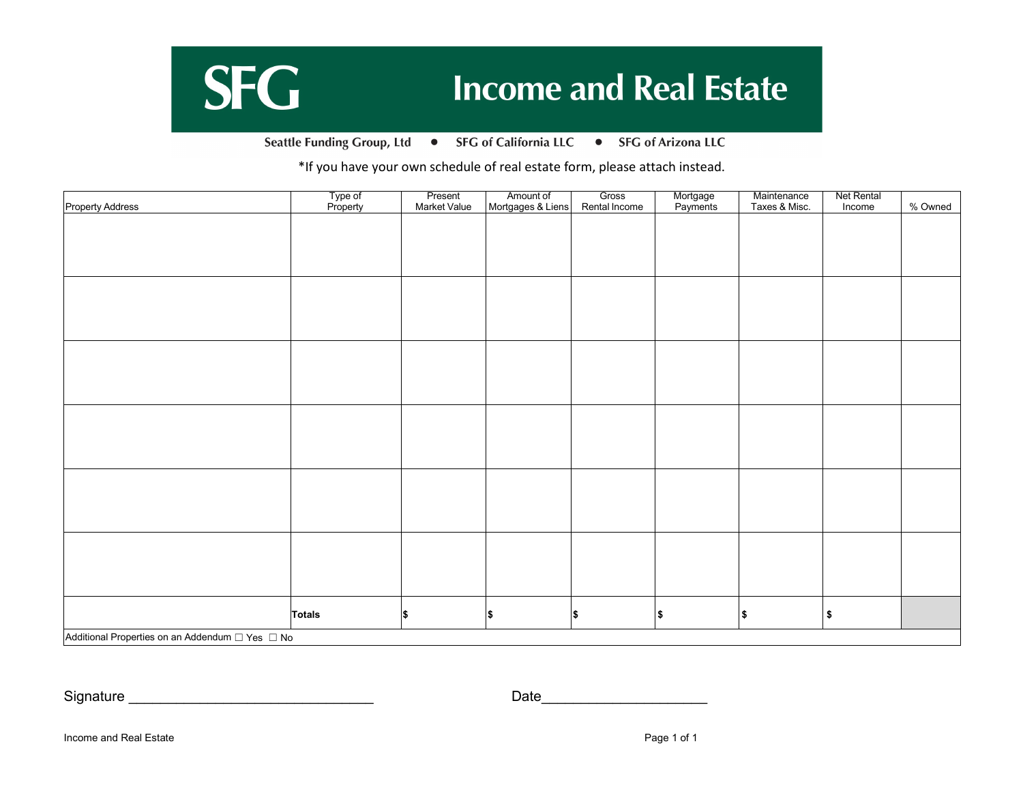## **SFG Income and Real Estate**

Seattle Funding Group, Ltd . SFG of California LLC . SFG of Arizona LLC

\*If you have your own schedule of real estate form, please attach instead.

|                         | Type of<br>Property | Present<br>Market Value | Amount of<br>Mortgages & Liens | Gross         | Mortgage<br>Payments | Maintenance   | <b>Net Rental</b> |         |
|-------------------------|---------------------|-------------------------|--------------------------------|---------------|----------------------|---------------|-------------------|---------|
| <b>Property Address</b> |                     |                         |                                | Rental Income |                      | Taxes & Misc. | Income            | % Owned |
|                         |                     |                         |                                |               |                      |               |                   |         |
|                         |                     |                         |                                |               |                      |               |                   |         |
|                         |                     |                         |                                |               |                      |               |                   |         |
|                         |                     |                         |                                |               |                      |               |                   |         |
|                         |                     |                         |                                |               |                      |               |                   |         |
|                         |                     |                         |                                |               |                      |               |                   |         |
|                         |                     |                         |                                |               |                      |               |                   |         |
|                         |                     |                         |                                |               |                      |               |                   |         |
|                         |                     |                         |                                |               |                      |               |                   |         |
|                         |                     |                         |                                |               |                      |               |                   |         |
|                         |                     |                         |                                |               |                      |               |                   |         |
|                         |                     |                         |                                |               |                      |               |                   |         |
|                         |                     |                         |                                |               |                      |               |                   |         |
|                         |                     |                         |                                |               |                      |               |                   |         |
|                         |                     |                         |                                |               |                      |               |                   |         |
|                         |                     |                         |                                |               |                      |               |                   |         |
|                         |                     |                         |                                |               |                      |               |                   |         |
|                         |                     |                         |                                |               |                      |               |                   |         |
|                         |                     |                         |                                |               |                      |               |                   |         |
|                         |                     |                         |                                |               |                      |               |                   |         |
|                         |                     |                         |                                |               |                      |               |                   |         |
|                         |                     |                         |                                |               |                      |               |                   |         |
|                         |                     |                         |                                |               |                      |               |                   |         |
|                         |                     |                         |                                |               |                      |               |                   |         |
|                         |                     |                         |                                |               |                      |               |                   |         |
|                         |                     |                         |                                |               |                      |               |                   |         |
|                         |                     |                         |                                |               |                      |               |                   |         |
|                         |                     |                         |                                |               |                      |               |                   |         |
|                         |                     |                         |                                |               |                      |               |                   |         |
|                         |                     |                         |                                |               |                      |               |                   |         |
|                         |                     |                         |                                |               |                      |               |                   |         |
|                         | <b>Totals</b>       | l\$                     | \$                             | \$            | $\pmb{\$}$           | \$            | $\frac{2}{3}$     |         |
|                         |                     |                         |                                |               |                      |               |                   |         |
|                         |                     |                         |                                |               |                      |               |                   |         |

Signature \_\_\_\_\_\_\_\_\_\_\_\_\_\_\_\_\_\_\_\_\_\_\_\_\_\_\_\_\_\_\_ Date\_\_\_\_\_\_\_\_\_\_\_\_\_\_\_\_\_\_\_\_\_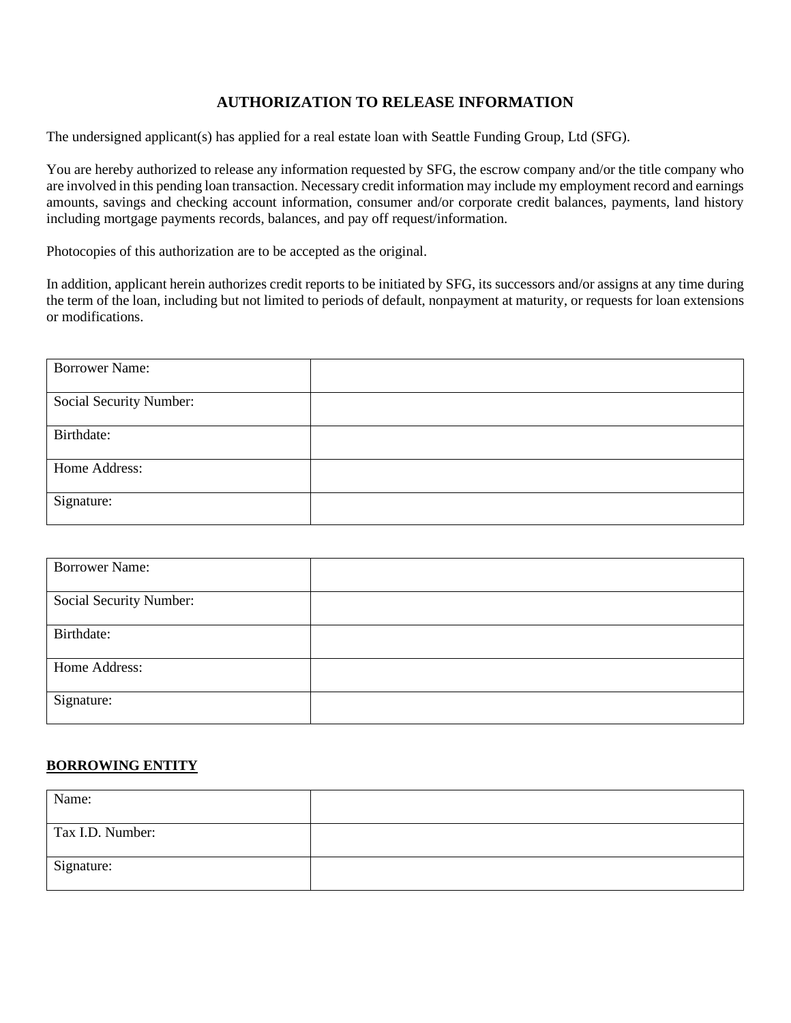### **AUTHORIZATION TO RELEASE INFORMATION**

The undersigned applicant(s) has applied for a real estate loan with Seattle Funding Group, Ltd (SFG).

You are hereby authorized to release any information requested by SFG, the escrow company and/or the title company who are involved in this pending loan transaction. Necessary credit information may include my employment record and earnings amounts, savings and checking account information, consumer and/or corporate credit balances, payments, land history including mortgage payments records, balances, and pay off request/information.

Photocopies of this authorization are to be accepted as the original.

In addition, applicant herein authorizes credit reports to be initiated by SFG, its successors and/or assigns at any time during the term of the loan, including but not limited to periods of default, nonpayment at maturity, or requests for loan extensions or modifications.

| <b>Borrower Name:</b>   |  |
|-------------------------|--|
| Social Security Number: |  |
| Birthdate:              |  |
| Home Address:           |  |
| Signature:              |  |

| <b>Borrower Name:</b>   |  |
|-------------------------|--|
| Social Security Number: |  |
| Birthdate:              |  |
| Home Address:           |  |
| Signature:              |  |

#### **BORROWING ENTITY**

| Name:            |  |
|------------------|--|
| Tax I.D. Number: |  |
| Signature:       |  |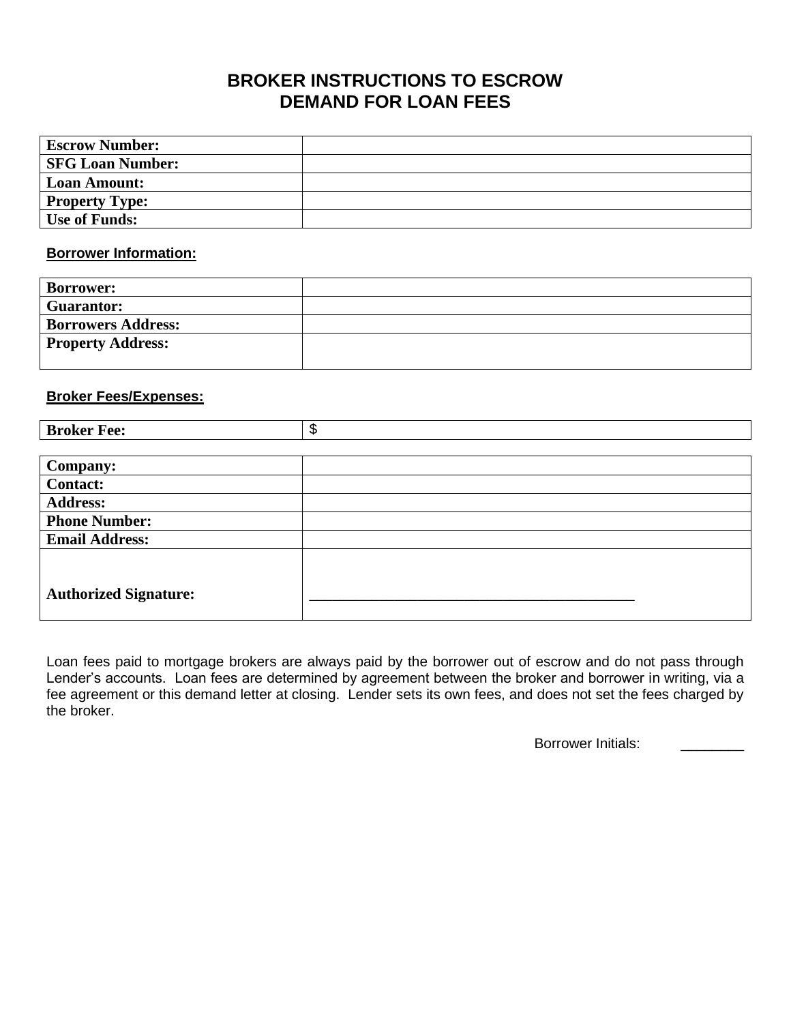### **BROKER INSTRUCTIONS TO ESCROW DEMAND FOR LOAN FEES**

| <b>Escrow Number:</b>   |  |
|-------------------------|--|
| <b>SFG Loan Number:</b> |  |
| <b>Loan Amount:</b>     |  |
| <b>Property Type:</b>   |  |
| <b>Use of Funds:</b>    |  |

#### **Borrower Information:**

| <b>Borrower:</b>          |  |
|---------------------------|--|
| <b>Guarantor:</b>         |  |
| <b>Borrowers Address:</b> |  |
| <b>Property Address:</b>  |  |
|                           |  |

#### **Broker Fees/Expenses:**

| <b>Broker Fee:</b>           | \$ |
|------------------------------|----|
|                              |    |
| Company:                     |    |
| <b>Contact:</b>              |    |
| <b>Address:</b>              |    |
| <b>Phone Number:</b>         |    |
| <b>Email Address:</b>        |    |
|                              |    |
|                              |    |
| <b>Authorized Signature:</b> |    |
|                              |    |

Loan fees paid to mortgage brokers are always paid by the borrower out of escrow and do not pass through Lender's accounts. Loan fees are determined by agreement between the broker and borrower in writing, via a fee agreement or this demand letter at closing. Lender sets its own fees, and does not set the fees charged by the broker.

Borrower Initials: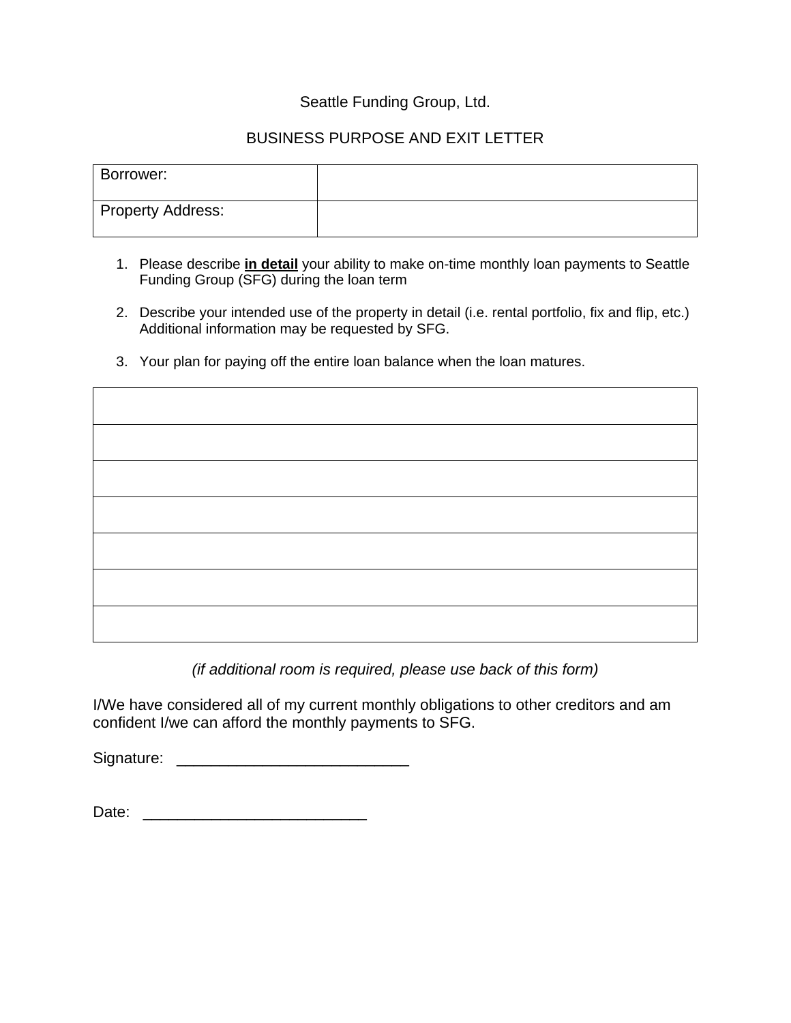### Seattle Funding Group, Ltd.

### BUSINESS PURPOSE AND EXIT LETTER

| Borrower:                      |  |
|--------------------------------|--|
| <sup>I</sup> Property Address: |  |

- 1. Please describe **in detail** your ability to make on-time monthly loan payments to Seattle Funding Group (SFG) during the loan term
- 2. Describe your intended use of the property in detail (i.e. rental portfolio, fix and flip, etc.) Additional information may be requested by SFG.
- 3. Your plan for paying off the entire loan balance when the loan matures.

*(if additional room is required, please use back of this form)*

I/We have considered all of my current monthly obligations to other creditors and am confident I/we can afford the monthly payments to SFG.

Signature: \_\_\_\_\_\_\_\_\_\_\_\_\_\_\_\_\_\_\_\_\_\_\_\_\_\_\_

Date: \_\_\_\_\_\_\_\_\_\_\_\_\_\_\_\_\_\_\_\_\_\_\_\_\_\_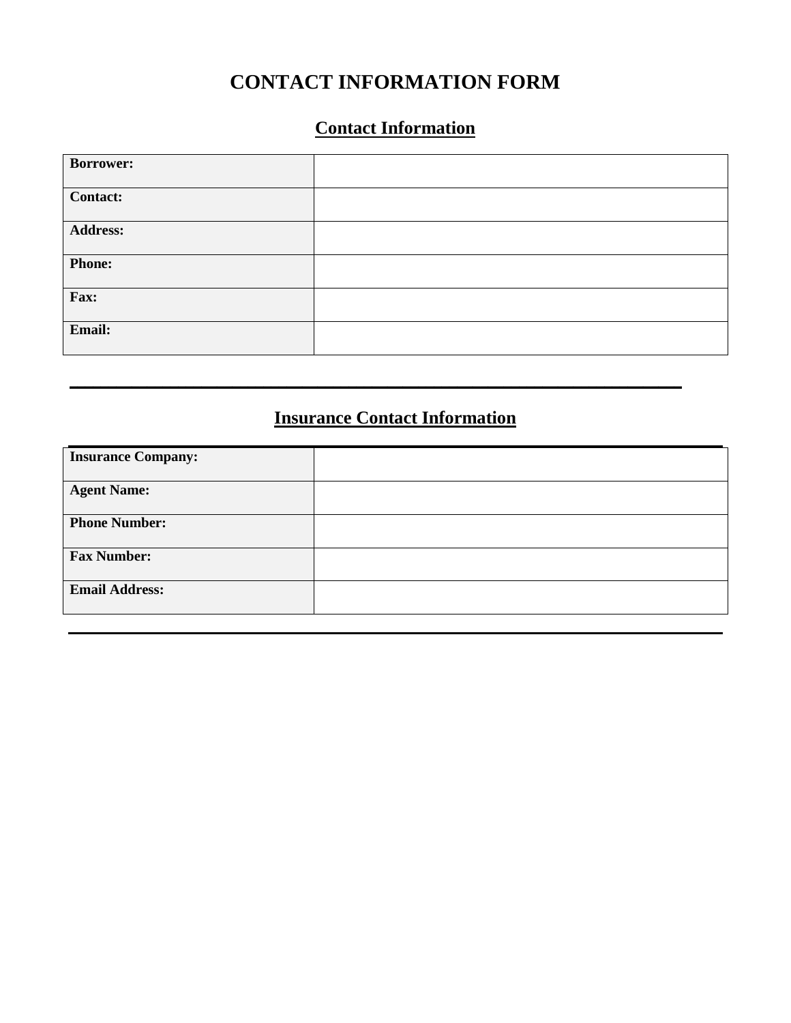### **CONTACT INFORMATION FORM**

### **Contact Information**

| <b>Borrower:</b> |  |
|------------------|--|
| <b>Contact:</b>  |  |
| <b>Address:</b>  |  |
| <b>Phone:</b>    |  |
| Fax:             |  |
| Email:           |  |

### **Insurance Contact Information**

**\_\_\_\_\_\_\_\_\_\_\_\_\_\_\_\_\_\_\_\_\_\_\_\_\_\_\_\_\_\_\_\_\_\_\_\_\_\_\_\_\_\_\_\_\_\_\_\_\_\_\_\_\_\_\_\_\_\_\_\_\_\_\_\_\_\_\_\_\_\_\_\_\_\_\_\_\_\_\_**

| <b>Insurance Company:</b> |  |
|---------------------------|--|
| <b>Agent Name:</b>        |  |
| <b>Phone Number:</b>      |  |
| <b>Fax Number:</b>        |  |
| <b>Email Address:</b>     |  |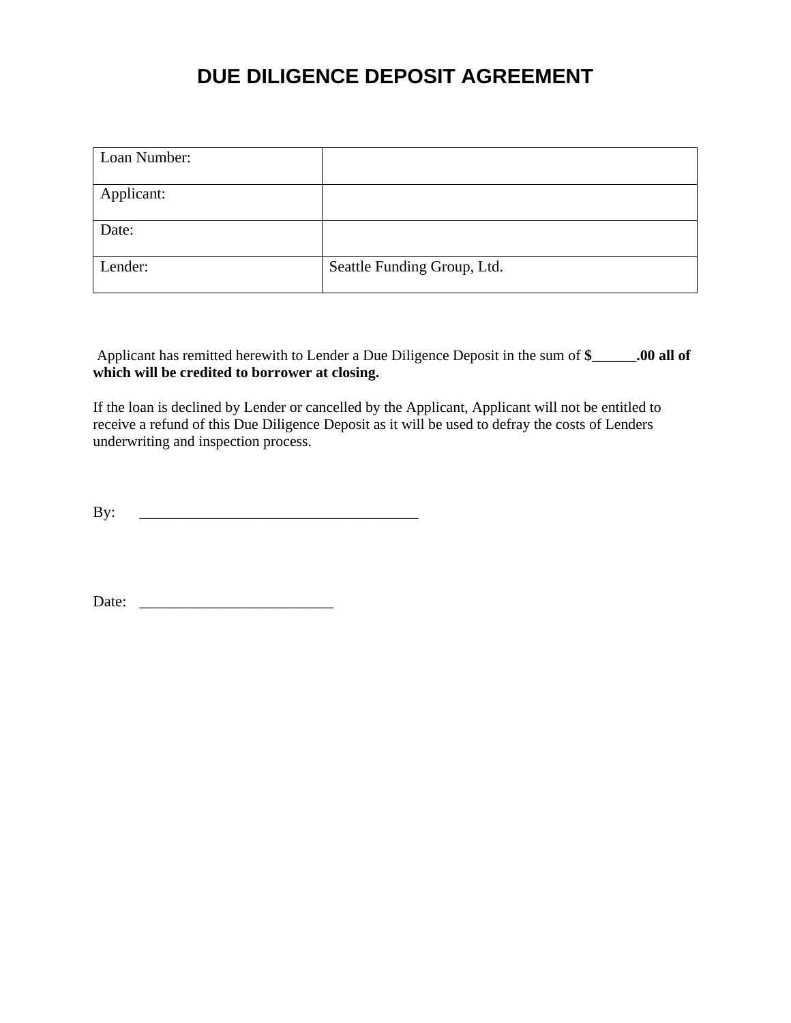### **DUE DILIGENCE DEPOSIT AGREEMENT**

| Loan Number: |                             |
|--------------|-----------------------------|
| Applicant:   |                             |
| Date:        |                             |
| Lender:      | Seattle Funding Group, Ltd. |

Applicant has remitted herewith to Lender a Due Diligence Deposit in the sum of **\$\_\_\_\_\_\_.00 all of**  which will be credited to borrower at closing.

If the loan is declined by Lender or cancelled by the Applicant, Applicant will not be entitled to receive a refund of this Due Diligence Deposit as it will be used to defray the costs of Lenders underwriting and inspection process.

 $\mathbf{B} \mathbf{y}$ :

Date: \_\_\_\_\_\_\_\_\_\_\_\_\_\_\_\_\_\_\_\_\_\_\_\_\_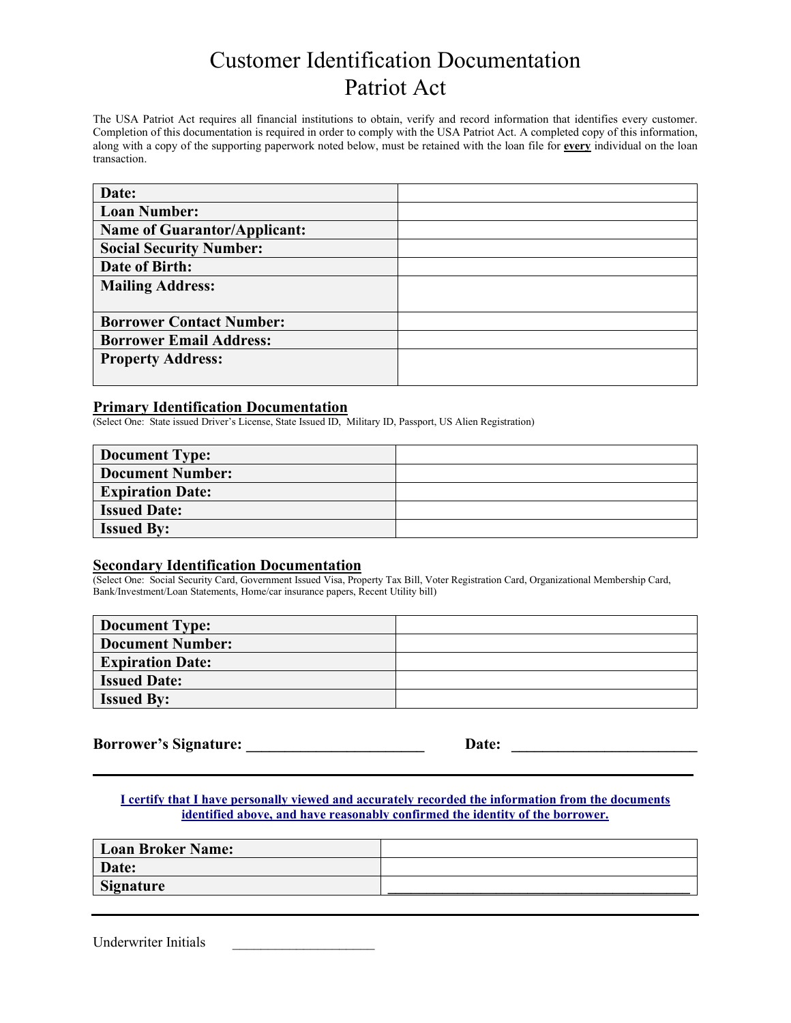### Customer Identification Documentation Patriot Act

The USA Patriot Act requires all financial institutions to obtain, verify and record information that identifies every customer. Completion of this documentation is required in order to comply with the USA Patriot Act. A completed copy of this information, along with a copy of the supporting paperwork noted below, must be retained with the loan file for **every** individual on the loan transaction.

| Date:                               |  |
|-------------------------------------|--|
| <b>Loan Number:</b>                 |  |
| <b>Name of Guarantor/Applicant:</b> |  |
| <b>Social Security Number:</b>      |  |
| Date of Birth:                      |  |
| <b>Mailing Address:</b>             |  |
|                                     |  |
| <b>Borrower Contact Number:</b>     |  |
| <b>Borrower Email Address:</b>      |  |
| <b>Property Address:</b>            |  |
|                                     |  |

#### **Primary Identification Documentation**

(Select One: State issued Driver's License, State Issued ID, Military ID, Passport, US Alien Registration)

| <b>Document Type:</b>   |  |
|-------------------------|--|
| <b>Document Number:</b> |  |
| <b>Expiration Date:</b> |  |
| <b>Issued Date:</b>     |  |
| <b>Issued By:</b>       |  |

### **Secondary Identification Documentation**

(Select One: Social Security Card, Government Issued Visa, Property Tax Bill, Voter Registration Card, Organizational Membership Card, Bank/Investment/Loan Statements, Home/car insurance papers, Recent Utility bill)

| <b>Document Type:</b>   |  |
|-------------------------|--|
| <b>Document Number:</b> |  |
| <b>Expiration Date:</b> |  |
| <b>Issued Date:</b>     |  |
| <b>Issued By:</b>       |  |

**Borrower's Signature: \_\_\_\_\_\_\_\_\_\_\_\_\_\_\_\_\_\_\_\_\_\_\_ Date: \_\_\_\_\_\_\_\_\_\_\_\_\_\_\_\_\_\_\_\_\_\_\_\_**

**I certify that I have personally viewed and accurately recorded the information from the documents identified above, and have reasonably confirmed the identity of the borrower.**

**\_\_\_\_\_\_\_\_\_\_\_\_\_\_\_\_\_\_\_\_\_\_\_\_\_\_\_\_\_\_\_\_\_\_\_\_\_\_\_\_\_\_\_\_\_\_\_\_\_\_\_\_\_\_\_\_\_\_\_\_\_\_\_\_\_\_\_\_\_\_\_\_\_\_\_\_\_\_\_\_\_\_\_\_\_\_\_\_\_\_\_\_\_**

| <b>Loan Broker Name:</b> |  |
|--------------------------|--|
| Date:                    |  |
| <b>Signature</b>         |  |
|                          |  |

Underwriter Initials \_\_\_\_\_\_\_\_\_\_\_\_\_\_\_\_\_\_\_\_